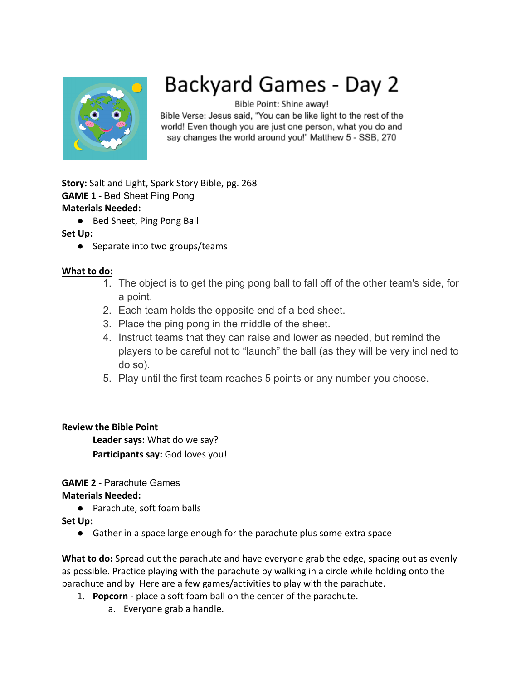

# Backyard Games - Day 2

Bible Point: Shine away!

Bible Verse: Jesus said, "You can be like light to the rest of the world! Even though you are just one person, what you do and say changes the world around you!" Matthew 5 - SSB, 270

**Story:** Salt and Light, Spark Story Bible, pg. 268 **GAME 1 -** Bed Sheet Ping Pong **Materials Needed:**

● Bed Sheet, Ping Pong Ball

# **Set Up:**

● Separate into two groups/teams

# **What to do:**

- 1. The object is to get the ping pong ball to fall off of the other team's side, for a point.
- 2. Each team holds the opposite end of a bed sheet.
- 3. Place the ping pong in the middle of the sheet.
- 4. Instruct teams that they can raise and lower as needed, but remind the players to be careful not to "launch" the ball (as they will be very inclined to do so).
- 5. Play until the first team reaches 5 points or any number you choose.

# **Review the Bible Point**

**Leader says:** What do we say? **Participants say:** God loves you!

**GAME 2 -** Parachute Games

#### **Materials Needed:**

● Parachute, soft foam balls

**Set Up:**

● Gather in a space large enough for the parachute plus some extra space

**What to do:** Spread out the parachute and have everyone grab the edge, spacing out as evenly as possible. Practice playing with the parachute by walking in a circle while holding onto the parachute and by Here are a few games/activities to play with the parachute.

- 1. **Popcorn** place a soft foam ball on the center of the parachute.
	- a. Everyone grab a handle.